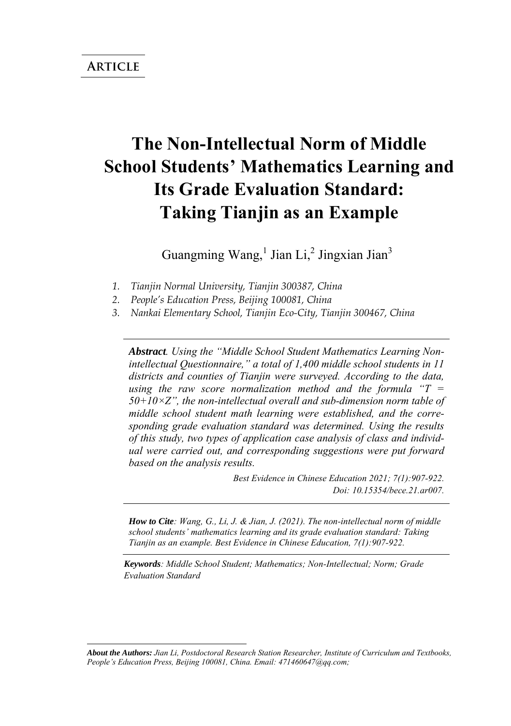# **The Non-Intellectual Norm of Middle School Students' Mathematics Learning and Its Grade Evaluation Standard: Taking Tianjin as an Example**

Guangming Wang,<sup>1</sup> Jian Li,<sup>2</sup> Jingxian Jian<sup>3</sup>

*1. Tianjin Normal University, Tianjin 300387, China* 

*2. People's Education Press, Beijing 100081, China* 

*3. Nankai Elementary School, Tianjin Eco-City, Tianjin 300467, China*

*Abstract. Using the "Middle School Student Mathematics Learning Nonintellectual Questionnaire," a total of 1,400 middle school students in 11 districts and counties of Tianjin were surveyed. According to the data, using the raw score normalization method and the formula "T = 50+10×Z", the non-intellectual overall and sub-dimension norm table of middle school student math learning were established, and the corresponding grade evaluation standard was determined. Using the results of this study, two types of application case analysis of class and individual were carried out, and corresponding suggestions were put forward based on the analysis results.*

> *Best Evidence in Chinese Education 2021; 7(1):907-922. Doi: 10.15354/bece.21.ar007.*

*How to Cite: Wang, G., Li, J. & Jian, J. (2021). The non-intellectual norm of middle school students' mathematics learning and its grade evaluation standard: Taking Tianjin as an example. Best Evidence in Chinese Education, 7(1):907-922.*

*Keywords: Middle School Student; Mathematics; Non-Intellectual; Norm; Grade Evaluation Standard*

*About the Authors: Jian Li, Postdoctoral Research Station Researcher, Institute of Curriculum and Textbooks, People's Education Press, Beijing 100081, China. Email: 471460647@qq.com;*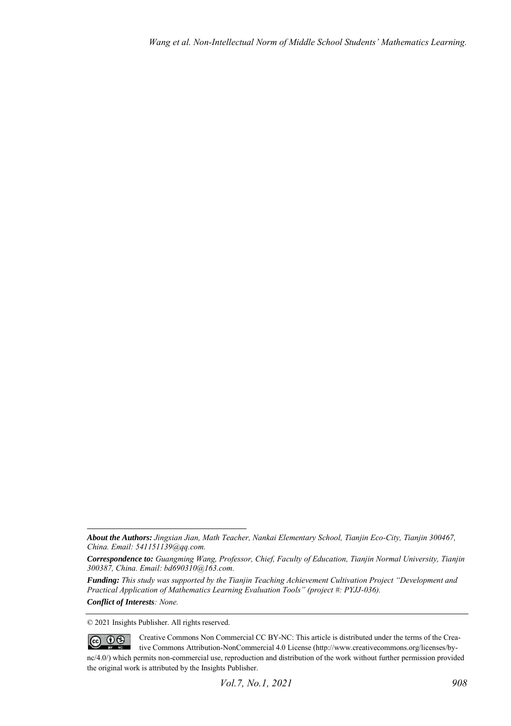*Conflict of Interests: None.* 

© 2021 Insights Publisher. All rights reserved.

Creative Commons Non Commercial CC BY-NC: This article is distributed under the terms of the Crea- $\circledcirc$   $\circledcirc$ tive Commons Attribution-NonCommercial 4.0 License (http://www.creativecommons.org/licenses/bync/4.0/) which permits non-commercial use, reproduction and distribution of the work without further permission provided the original work is attributed by the Insights Publisher.

*About the Authors: Jingxian Jian, Math Teacher, Nankai Elementary School, Tianjin Eco-City, Tianjin 300467, China. Email: 541151139@qq.com.* 

*Correspondence to: Guangming Wang, Professor, Chief, Faculty of Education, Tianjin Normal University, Tianjin 300387, China. Email: bd690310@163.com.* 

*Funding: This study was supported by the Tianjin Teaching Achievement Cultivation Project "Development and Practical Application of Mathematics Learning Evaluation Tools" (project #: PYJJ-036).*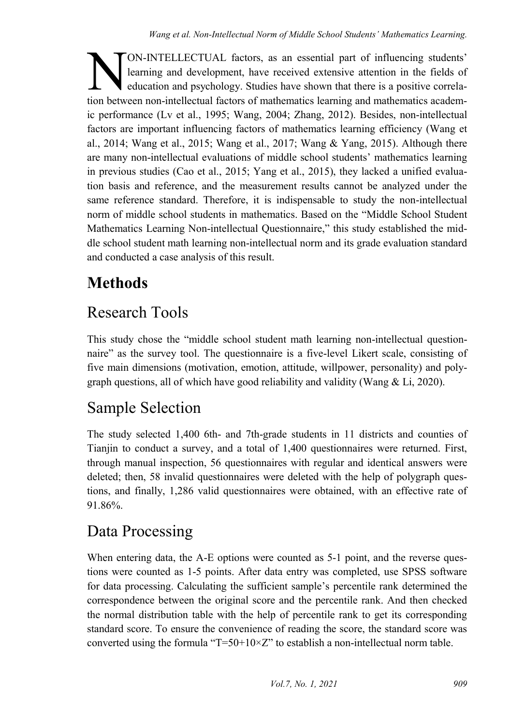ON-INTELLECTUAL factors, as an essential part of influencing students' learning and development, have received extensive attention in the fields of education and psychology. Studies have shown that there is a positive correla-ON-INTELLECTUAL factors, as an essential part of influencing students' learning and development, have received extensive attention in the fields of education and psychology. Studies have shown that there is a positive corr ic performance (Lv et al., 1995; Wang, 2004; Zhang, 2012). Besides, non-intellectual factors are important influencing factors of mathematics learning efficiency (Wang et al., 2014; Wang et al., 2015; Wang et al., 2017; Wang & Yang, 2015). Although there are many non-intellectual evaluations of middle school students' mathematics learning in previous studies (Cao et al., 2015; Yang et al., 2015), they lacked a unified evaluation basis and reference, and the measurement results cannot be analyzed under the same reference standard. Therefore, it is indispensable to study the non-intellectual norm of middle school students in mathematics. Based on the "Middle School Student Mathematics Learning Non-intellectual Questionnaire," this study established the middle school student math learning non-intellectual norm and its grade evaluation standard and conducted a case analysis of this result.

# **Methods**

## Research Tools

This study chose the "middle school student math learning non-intellectual questionnaire" as the survey tool. The questionnaire is a five-level Likert scale, consisting of five main dimensions (motivation, emotion, attitude, willpower, personality) and polygraph questions, all of which have good reliability and validity (Wang & Li, 2020).

#### Sample Selection

The study selected 1,400 6th- and 7th-grade students in 11 districts and counties of Tianjin to conduct a survey, and a total of 1,400 questionnaires were returned. First, through manual inspection, 56 questionnaires with regular and identical answers were deleted; then, 58 invalid questionnaires were deleted with the help of polygraph questions, and finally, 1,286 valid questionnaires were obtained, with an effective rate of 91.86%.

#### Data Processing

When entering data, the A-E options were counted as 5-1 point, and the reverse questions were counted as 1-5 points. After data entry was completed, use SPSS software for data processing. Calculating the sufficient sample's percentile rank determined the correspondence between the original score and the percentile rank. And then checked the normal distribution table with the help of percentile rank to get its corresponding standard score. To ensure the convenience of reading the score, the standard score was converted using the formula "T=50+10×Z" to establish a non-intellectual norm table.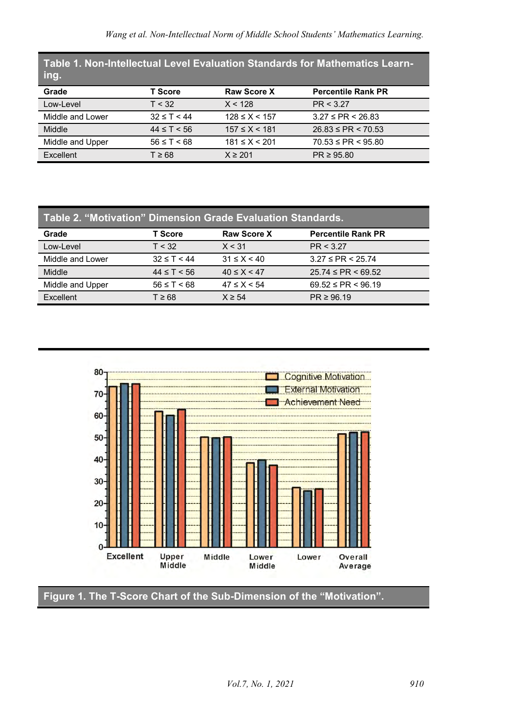| Table 1. Non-Intellectual Level Evaluation Standards for Mathematics Learn-<br>ing. |                   |                     |                           |
|-------------------------------------------------------------------------------------|-------------------|---------------------|---------------------------|
| Grade                                                                               | T Score           | <b>Raw Score X</b>  | <b>Percentile Rank PR</b> |
| Low-Level                                                                           | T < 32            | X < 128             | PR < 3.27                 |
| Middle and Lower                                                                    | $32 \le T < 44$   | $128 \le X < 157$   | $3.27 \le PR \le 26.83$   |
| Middle                                                                              | $44 \le T < 56$   | $157 \le X \le 181$ | $26.83 \le PR \le 70.53$  |
| Middle and Upper                                                                    | $56 \le T \le 68$ | $181 \le X \le 201$ | $70.53 \le PR \le 95.80$  |
| Excellent                                                                           | $T \geq 68$       | $X \ge 201$         | $PR \ge 95.80$            |

| . Table 2. "Motivation" Dimension Grade Evaluation Standards. |                   |                    |                           |
|---------------------------------------------------------------|-------------------|--------------------|---------------------------|
| Grade                                                         | T Score           | <b>Raw Score X</b> | <b>Percentile Rank PR</b> |
| Low-Level                                                     | T < 32            | X < 31             | PR < 3.27                 |
| Middle and Lower                                              | $32 \le T \le 44$ | $31 \le X < 40$    | $3.27 \le PR \le 25.74$   |
| Middle                                                        | $44 \le T \le 56$ | $40 \le X \le 47$  | $25.74 \le PR \le 69.52$  |
| Middle and Upper                                              | $56 \le T \le 68$ | $47 \le X < 54$    | $69.52 \le PR \le 96.19$  |
| Excellent                                                     | $T \geq 68$       | $X \geq 54$        | $PR \ge 96.19$            |
|                                                               |                   |                    |                           |



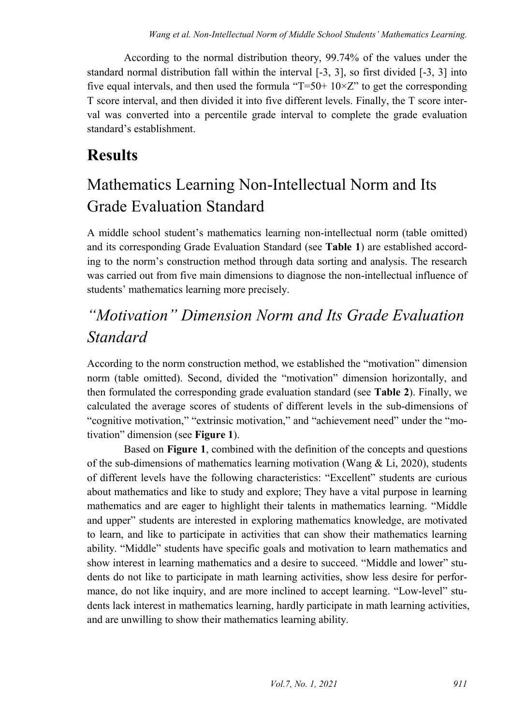According to the normal distribution theory, 99.74% of the values under the standard normal distribution fall within the interval [-3, 3], so first divided [-3, 3] into five equal intervals, and then used the formula "T=50+  $10\times Z$ " to get the corresponding T score interval, and then divided it into five different levels. Finally, the T score interval was converted into a percentile grade interval to complete the grade evaluation standard's establishment.

#### **Results**

## Mathematics Learning Non-Intellectual Norm and Its Grade Evaluation Standard

A middle school student's mathematics learning non-intellectual norm (table omitted) and its corresponding Grade Evaluation Standard (see **Table 1**) are established according to the norm's construction method through data sorting and analysis. The research was carried out from five main dimensions to diagnose the non-intellectual influence of students' mathematics learning more precisely.

#### *"Motivation" Dimension Norm and Its Grade Evaluation Standard*

According to the norm construction method, we established the "motivation" dimension norm (table omitted). Second, divided the "motivation" dimension horizontally, and then formulated the corresponding grade evaluation standard (see **Table 2**). Finally, we calculated the average scores of students of different levels in the sub-dimensions of "cognitive motivation," "extrinsic motivation," and "achievement need" under the "motivation" dimension (see **Figure 1**).

Based on **Figure 1**, combined with the definition of the concepts and questions of the sub-dimensions of mathematics learning motivation (Wang  $\&$  Li, 2020), students of different levels have the following characteristics: "Excellent" students are curious about mathematics and like to study and explore; They have a vital purpose in learning mathematics and are eager to highlight their talents in mathematics learning. "Middle and upper" students are interested in exploring mathematics knowledge, are motivated to learn, and like to participate in activities that can show their mathematics learning ability. "Middle" students have specific goals and motivation to learn mathematics and show interest in learning mathematics and a desire to succeed. "Middle and lower" students do not like to participate in math learning activities, show less desire for performance, do not like inquiry, and are more inclined to accept learning. "Low-level" students lack interest in mathematics learning, hardly participate in math learning activities, and are unwilling to show their mathematics learning ability.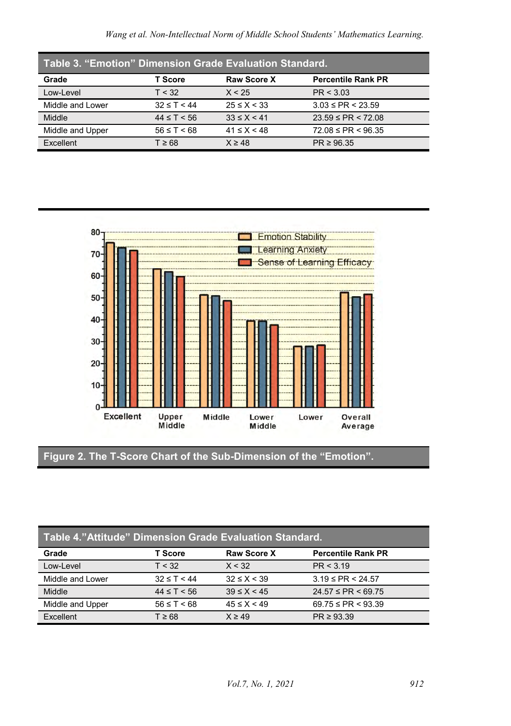| Table 3. "Emotion" Dimension Grade Evaluation Standard. |                     |                    |                           |
|---------------------------------------------------------|---------------------|--------------------|---------------------------|
| Grade                                                   | T Score             | <b>Raw Score X</b> | <b>Percentile Rank PR</b> |
| Low-Level                                               | T < 32              | X < 25             | PR < 3.03                 |
| Middle and Lower                                        | $32 \le T \le 44$   | $25 \le X < 33$    | $3.03 \le PR \le 23.59$   |
| Middle                                                  | $44 \le T \le 56$   | $33 \le X < 41$    | $23.59 \le PR \le 72.08$  |
| Middle and Upper                                        | $56 \leq T \leq 68$ | $41 \le X < 48$    | $72.08 \le PR \le 96.35$  |
| Excellent                                               | $T \geq 68$         | $X \geq 48$        | $PR \ge 96.35$            |



**Figure 2. The T-Score Chart of the Sub-Dimension of the "Emotion".**

| . Table 4."Attitude" Dimension Grade Evaluation Standard. |                     |                    |                           |
|-----------------------------------------------------------|---------------------|--------------------|---------------------------|
| Grade                                                     | T Score             | <b>Raw Score X</b> | <b>Percentile Rank PR</b> |
| Low-Level                                                 | T < 32              | X < 32             | PR < 3.19                 |
| Middle and Lower                                          | $32 \le T < 44$     | $32 \le X < 39$    | $3.19 \le PR < 24.57$     |
| Middle                                                    | $44 \le T < 56$     | $39 \le X < 45$    | $24.57 \le PR \le 69.75$  |
| Middle and Upper                                          | $56 \leq T \leq 68$ | $45 \le X < 49$    | $69.75 \le PR \le 93.39$  |
| Excellent                                                 | $T \geq 68$         | $X \geq 49$        | $PR \ge 93.39$            |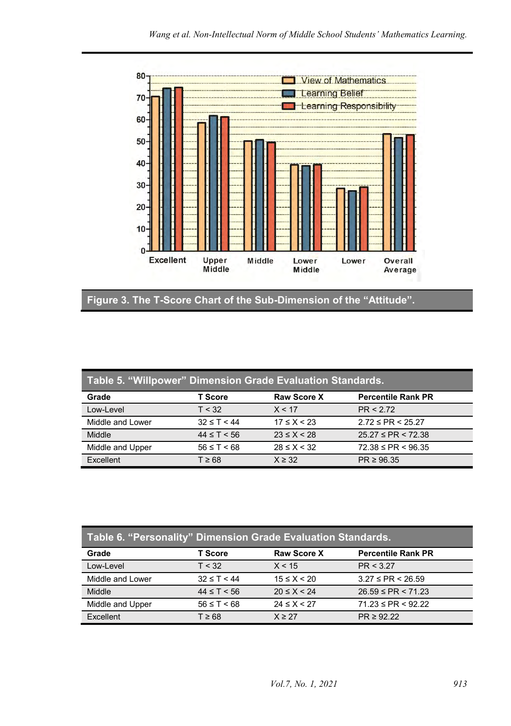

**Figure 3. The T-Score Chart of the Sub-Dimension of the "Attitude".**

| Table 5. "Willpower" Dimension Grade Evaluation Standards. |                     |                    |                           |
|------------------------------------------------------------|---------------------|--------------------|---------------------------|
| Grade                                                      | <b>T</b> Score      | <b>Raw Score X</b> | <b>Percentile Rank PR</b> |
| Low-Level                                                  | T < 32              | X < 17             | PR < 2.72                 |
| Middle and Lower                                           | $32 \le T < 44$     | $17 \le X < 23$    | $2.72 \le PR \le 25.27$   |
| Middle                                                     | $44 \le T \le 56$   | $23 \le X < 28$    | $25.27 \le PR \le 72.38$  |
| Middle and Upper                                           | $56 \leq T \leq 68$ | $28 \le X < 32$    | $72.38 \le PR \le 96.35$  |
| Excellent                                                  | $T \geq 68$         | $X \geq 32$        | $PR \geq 96.35$           |

| Table 6. "Personality" Dimension Grade Evaluation Standards. |                     |                    |                           |
|--------------------------------------------------------------|---------------------|--------------------|---------------------------|
| Grade                                                        | T Score             | <b>Raw Score X</b> | <b>Percentile Rank PR</b> |
| Low-Level                                                    | T < 32              | X < 15             | PR < 3.27                 |
| Middle and Lower                                             | $32 \le T < 44$     | $15 \le X < 20$    | $3.27 \le PR \le 26.59$   |
| Middle                                                       | $44 \le T < 56$     | $20 \le X \le 24$  | $26.59 \le PR \le 71.23$  |
| Middle and Upper                                             | $56 \leq T \leq 68$ | $24 \le X \le 27$  | $71.23 \le PR \le 92.22$  |
| Excellent                                                    | $T \geq 68$         | $X \geq 27$        | $PR \ge 92.22$            |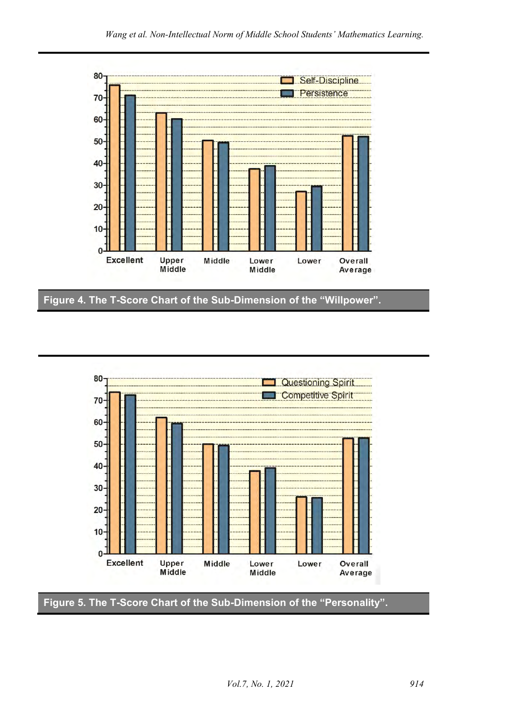

**Figure 4. The T-Score Chart of the Sub-Dimension of the "Willpower".**



**Figure 5. The T-Score Chart of the Sub-Dimension of the "Personality".**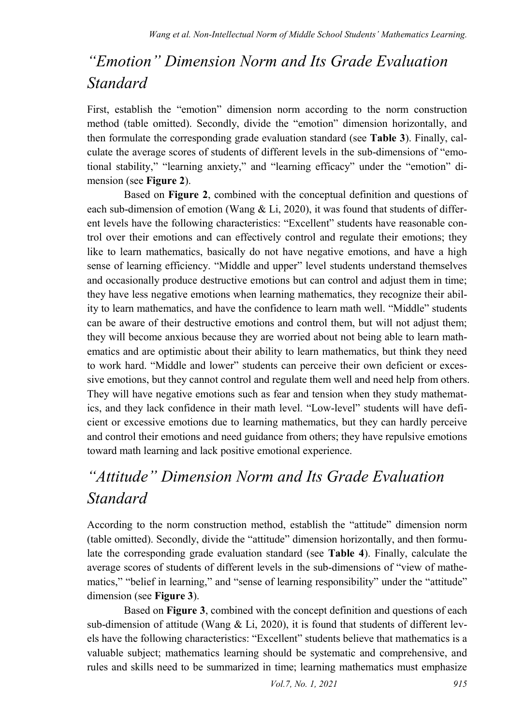## *"Emotion" Dimension Norm and Its Grade Evaluation Standard*

First, establish the "emotion" dimension norm according to the norm construction method (table omitted). Secondly, divide the "emotion" dimension horizontally, and then formulate the corresponding grade evaluation standard (see **Table 3**). Finally, calculate the average scores of students of different levels in the sub-dimensions of "emotional stability," "learning anxiety," and "learning efficacy" under the "emotion" dimension (see **Figure 2**).

Based on **Figure 2**, combined with the conceptual definition and questions of each sub-dimension of emotion (Wang  $&$  Li, 2020), it was found that students of different levels have the following characteristics: "Excellent" students have reasonable control over their emotions and can effectively control and regulate their emotions; they like to learn mathematics, basically do not have negative emotions, and have a high sense of learning efficiency. "Middle and upper" level students understand themselves and occasionally produce destructive emotions but can control and adjust them in time; they have less negative emotions when learning mathematics, they recognize their ability to learn mathematics, and have the confidence to learn math well. "Middle" students can be aware of their destructive emotions and control them, but will not adjust them; they will become anxious because they are worried about not being able to learn mathematics and are optimistic about their ability to learn mathematics, but think they need to work hard. "Middle and lower" students can perceive their own deficient or excessive emotions, but they cannot control and regulate them well and need help from others. They will have negative emotions such as fear and tension when they study mathematics, and they lack confidence in their math level. "Low-level" students will have deficient or excessive emotions due to learning mathematics, but they can hardly perceive and control their emotions and need guidance from others; they have repulsive emotions toward math learning and lack positive emotional experience.

#### *"Attitude" Dimension Norm and Its Grade Evaluation Standard*

According to the norm construction method, establish the "attitude" dimension norm (table omitted). Secondly, divide the "attitude" dimension horizontally, and then formulate the corresponding grade evaluation standard (see **Table 4**). Finally, calculate the average scores of students of different levels in the sub-dimensions of "view of mathematics," "belief in learning," and "sense of learning responsibility" under the "attitude" dimension (see **Figure 3**).

Based on **Figure 3**, combined with the concept definition and questions of each sub-dimension of attitude (Wang  $& Li$ , 2020), it is found that students of different levels have the following characteristics: "Excellent" students believe that mathematics is a valuable subject; mathematics learning should be systematic and comprehensive, and rules and skills need to be summarized in time; learning mathematics must emphasize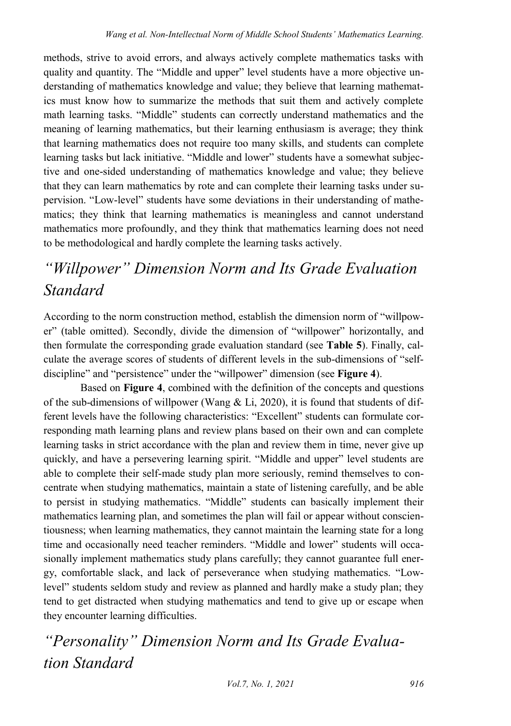methods, strive to avoid errors, and always actively complete mathematics tasks with quality and quantity. The "Middle and upper" level students have a more objective understanding of mathematics knowledge and value; they believe that learning mathematics must know how to summarize the methods that suit them and actively complete math learning tasks. "Middle" students can correctly understand mathematics and the meaning of learning mathematics, but their learning enthusiasm is average; they think that learning mathematics does not require too many skills, and students can complete learning tasks but lack initiative. "Middle and lower" students have a somewhat subjective and one-sided understanding of mathematics knowledge and value; they believe that they can learn mathematics by rote and can complete their learning tasks under supervision. "Low-level" students have some deviations in their understanding of mathematics; they think that learning mathematics is meaningless and cannot understand mathematics more profoundly, and they think that mathematics learning does not need to be methodological and hardly complete the learning tasks actively.

## *"Willpower" Dimension Norm and Its Grade Evaluation Standard*

According to the norm construction method, establish the dimension norm of "willpower" (table omitted). Secondly, divide the dimension of "willpower" horizontally, and then formulate the corresponding grade evaluation standard (see **Table 5**). Finally, calculate the average scores of students of different levels in the sub-dimensions of "selfdiscipline" and "persistence" under the "willpower" dimension (see **Figure 4**).

Based on **Figure 4**, combined with the definition of the concepts and questions of the sub-dimensions of willpower (Wang  $&$  Li, 2020), it is found that students of different levels have the following characteristics: "Excellent" students can formulate corresponding math learning plans and review plans based on their own and can complete learning tasks in strict accordance with the plan and review them in time, never give up quickly, and have a persevering learning spirit. "Middle and upper" level students are able to complete their self-made study plan more seriously, remind themselves to concentrate when studying mathematics, maintain a state of listening carefully, and be able to persist in studying mathematics. "Middle" students can basically implement their mathematics learning plan, and sometimes the plan will fail or appear without conscientiousness; when learning mathematics, they cannot maintain the learning state for a long time and occasionally need teacher reminders. "Middle and lower" students will occasionally implement mathematics study plans carefully; they cannot guarantee full energy, comfortable slack, and lack of perseverance when studying mathematics. "Lowlevel" students seldom study and review as planned and hardly make a study plan; they tend to get distracted when studying mathematics and tend to give up or escape when they encounter learning difficulties.

#### *"Personality" Dimension Norm and Its Grade Evaluation Standard*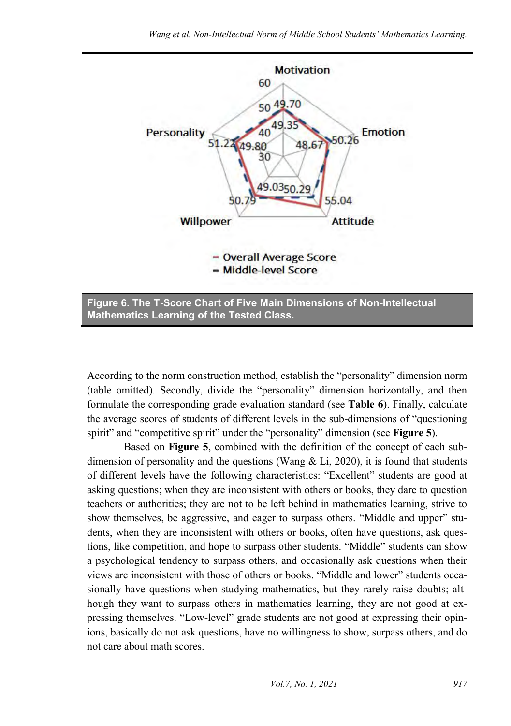

**Figure 6. The T-Score Chart of Five Main Dimensions of Non-Intellectual Mathematics Learning of the Tested Class.**

According to the norm construction method, establish the "personality" dimension norm (table omitted). Secondly, divide the "personality" dimension horizontally, and then formulate the corresponding grade evaluation standard (see **Table 6**). Finally, calculate the average scores of students of different levels in the sub-dimensions of "questioning spirit" and "competitive spirit" under the "personality" dimension (see **Figure 5**).

Based on **Figure 5**, combined with the definition of the concept of each subdimension of personality and the questions (Wang  $&$  Li, 2020), it is found that students of different levels have the following characteristics: "Excellent" students are good at asking questions; when they are inconsistent with others or books, they dare to question teachers or authorities; they are not to be left behind in mathematics learning, strive to show themselves, be aggressive, and eager to surpass others. "Middle and upper" students, when they are inconsistent with others or books, often have questions, ask questions, like competition, and hope to surpass other students. "Middle" students can show a psychological tendency to surpass others, and occasionally ask questions when their views are inconsistent with those of others or books. "Middle and lower" students occasionally have questions when studying mathematics, but they rarely raise doubts; although they want to surpass others in mathematics learning, they are not good at expressing themselves. "Low-level" grade students are not good at expressing their opinions, basically do not ask questions, have no willingness to show, surpass others, and do not care about math scores.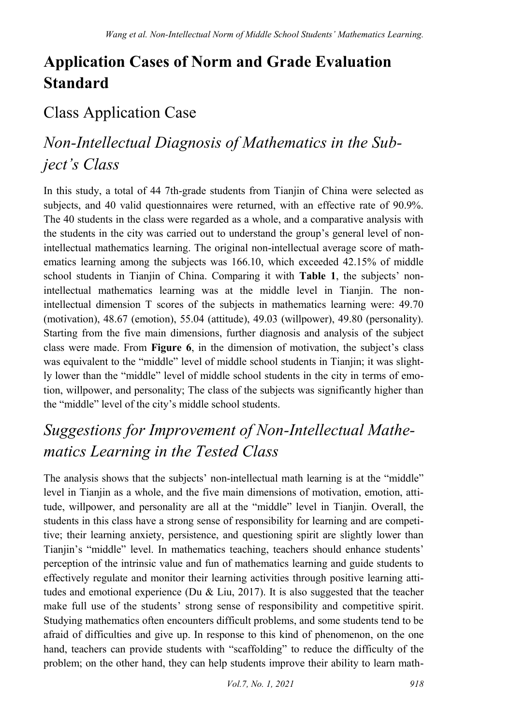# **Application Cases of Norm and Grade Evaluation Standard**

#### Class Application Case

#### *Non-Intellectual Diagnosis of Mathematics in the Subject's Class*

In this study, a total of 44 7th-grade students from Tianjin of China were selected as subjects, and 40 valid questionnaires were returned, with an effective rate of 90.9%. The 40 students in the class were regarded as a whole, and a comparative analysis with the students in the city was carried out to understand the group's general level of nonintellectual mathematics learning. The original non-intellectual average score of mathematics learning among the subjects was 166.10, which exceeded 42.15% of middle school students in Tianjin of China. Comparing it with **Table 1**, the subjects' nonintellectual mathematics learning was at the middle level in Tianjin. The nonintellectual dimension T scores of the subjects in mathematics learning were: 49.70 (motivation), 48.67 (emotion), 55.04 (attitude), 49.03 (willpower), 49.80 (personality). Starting from the five main dimensions, further diagnosis and analysis of the subject class were made. From **Figure 6**, in the dimension of motivation, the subject's class was equivalent to the "middle" level of middle school students in Tianjin; it was slightly lower than the "middle" level of middle school students in the city in terms of emotion, willpower, and personality; The class of the subjects was significantly higher than the "middle" level of the city's middle school students.

## *Suggestions for Improvement of Non-Intellectual Mathematics Learning in the Tested Class*

The analysis shows that the subjects' non-intellectual math learning is at the "middle" level in Tianjin as a whole, and the five main dimensions of motivation, emotion, attitude, willpower, and personality are all at the "middle" level in Tianjin. Overall, the students in this class have a strong sense of responsibility for learning and are competitive; their learning anxiety, persistence, and questioning spirit are slightly lower than Tianjin's "middle" level. In mathematics teaching, teachers should enhance students' perception of the intrinsic value and fun of mathematics learning and guide students to effectively regulate and monitor their learning activities through positive learning attitudes and emotional experience (Du & Liu, 2017). It is also suggested that the teacher make full use of the students' strong sense of responsibility and competitive spirit. Studying mathematics often encounters difficult problems, and some students tend to be afraid of difficulties and give up. In response to this kind of phenomenon, on the one hand, teachers can provide students with "scaffolding" to reduce the difficulty of the problem; on the other hand, they can help students improve their ability to learn math-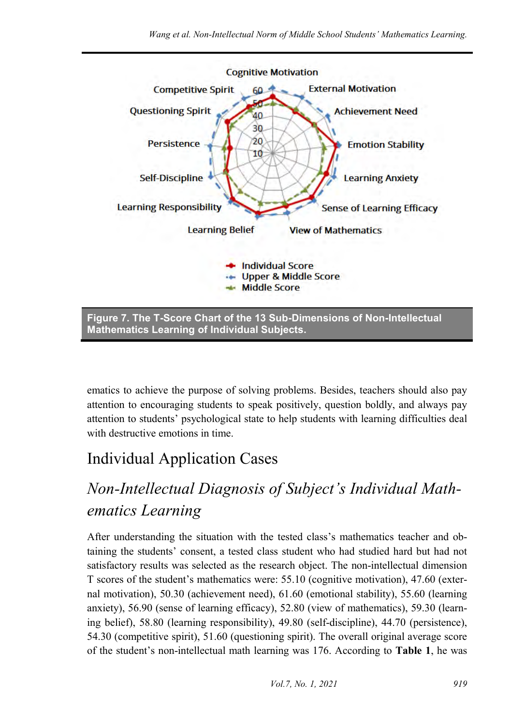

ematics to achieve the purpose of solving problems. Besides, teachers should also pay attention to encouraging students to speak positively, question boldly, and always pay attention to students' psychological state to help students with learning difficulties deal with destructive emotions in time.

#### Individual Application Cases

# *Non-Intellectual Diagnosis of Subject's Individual Mathematics Learning*

After understanding the situation with the tested class's mathematics teacher and obtaining the students' consent, a tested class student who had studied hard but had not satisfactory results was selected as the research object. The non-intellectual dimension T scores of the student's mathematics were: 55.10 (cognitive motivation), 47.60 (external motivation), 50.30 (achievement need), 61.60 (emotional stability), 55.60 (learning anxiety), 56.90 (sense of learning efficacy), 52.80 (view of mathematics), 59.30 (learning belief), 58.80 (learning responsibility), 49.80 (self-discipline), 44.70 (persistence), 54.30 (competitive spirit), 51.60 (questioning spirit). The overall original average score of the student's non-intellectual math learning was 176. According to **Table 1**, he was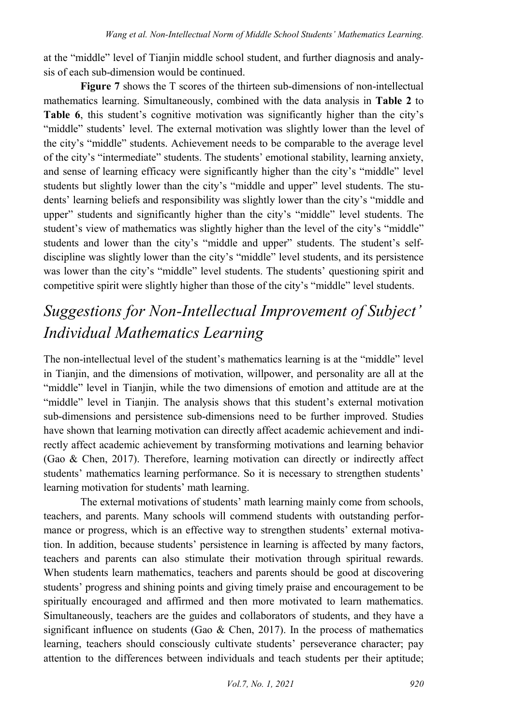at the "middle" level of Tianjin middle school student, and further diagnosis and analysis of each sub-dimension would be continued.

**Figure 7** shows the T scores of the thirteen sub-dimensions of non-intellectual mathematics learning. Simultaneously, combined with the data analysis in **Table 2** to Table 6, this student's cognitive motivation was significantly higher than the city's "middle" students' level. The external motivation was slightly lower than the level of the city's "middle" students. Achievement needs to be comparable to the average level of the city's "intermediate" students. The students' emotional stability, learning anxiety, and sense of learning efficacy were significantly higher than the city's "middle" level students but slightly lower than the city's "middle and upper" level students. The students' learning beliefs and responsibility was slightly lower than the city's "middle and upper" students and significantly higher than the city's "middle" level students. The student's view of mathematics was slightly higher than the level of the city's "middle" students and lower than the city's "middle and upper" students. The student's selfdiscipline was slightly lower than the city's "middle" level students, and its persistence was lower than the city's "middle" level students. The students' questioning spirit and competitive spirit were slightly higher than those of the city's "middle" level students.

## *Suggestions for Non-Intellectual Improvement of Subject' Individual Mathematics Learning*

The non-intellectual level of the student's mathematics learning is at the "middle" level in Tianjin, and the dimensions of motivation, willpower, and personality are all at the "middle" level in Tianjin, while the two dimensions of emotion and attitude are at the "middle" level in Tianjin. The analysis shows that this student's external motivation sub-dimensions and persistence sub-dimensions need to be further improved. Studies have shown that learning motivation can directly affect academic achievement and indirectly affect academic achievement by transforming motivations and learning behavior (Gao & Chen, 2017). Therefore, learning motivation can directly or indirectly affect students' mathematics learning performance. So it is necessary to strengthen students' learning motivation for students' math learning.

The external motivations of students' math learning mainly come from schools, teachers, and parents. Many schools will commend students with outstanding performance or progress, which is an effective way to strengthen students' external motivation. In addition, because students' persistence in learning is affected by many factors, teachers and parents can also stimulate their motivation through spiritual rewards. When students learn mathematics, teachers and parents should be good at discovering students' progress and shining points and giving timely praise and encouragement to be spiritually encouraged and affirmed and then more motivated to learn mathematics. Simultaneously, teachers are the guides and collaborators of students, and they have a significant influence on students (Gao  $\&$  Chen, 2017). In the process of mathematics learning, teachers should consciously cultivate students' perseverance character; pay attention to the differences between individuals and teach students per their aptitude;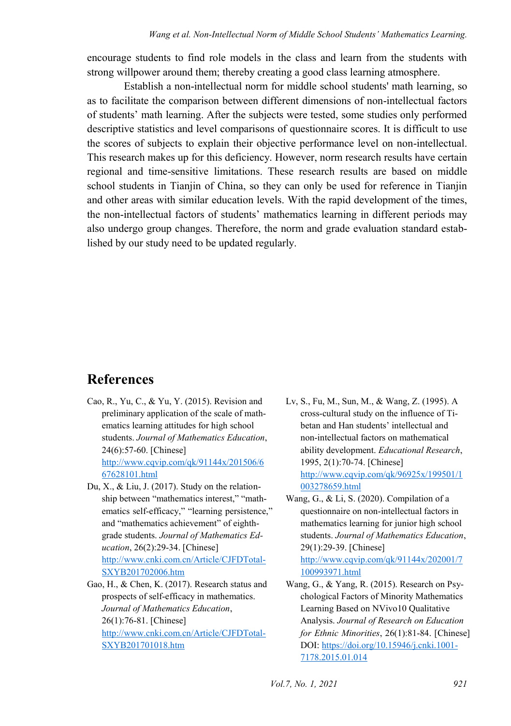encourage students to find role models in the class and learn from the students with strong willpower around them; thereby creating a good class learning atmosphere.

Establish a non-intellectual norm for middle school students' math learning, so as to facilitate the comparison between different dimensions of non-intellectual factors of students' math learning. After the subjects were tested, some studies only performed descriptive statistics and level comparisons of questionnaire scores. It is difficult to use the scores of subjects to explain their objective performance level on non-intellectual. This research makes up for this deficiency. However, norm research results have certain regional and time-sensitive limitations. These research results are based on middle school students in Tianjin of China, so they can only be used for reference in Tianjin and other areas with similar education levels. With the rapid development of the times, the non-intellectual factors of students' mathematics learning in different periods may also undergo group changes. Therefore, the norm and grade evaluation standard established by our study need to be updated regularly.

#### **References**

Cao, R., Yu, C., & Yu, Y. (2015). Revision and preliminary application of the scale of mathematics learning attitudes for high school students. *Journal of Mathematics Education*, 24(6):57-60. [Chinese]

[http://www.cqvip.com/qk/91144x/201506/6](http://www.cqvip.com/qk/91144x/201506/667628101.html) [67628101.html](http://www.cqvip.com/qk/91144x/201506/667628101.html) 

Du, X., & Liu, J. (2017). Study on the relationship between "mathematics interest," "mathematics self-efficacy," "learning persistence," and "mathematics achievement" of eighthgrade students. *Journal of Mathematics Education*, 26(2):29-34. [Chinese] [http://www.cnki.com.cn/Article/CJFDTotal-](http://www.cnki.com.cn/Article/CJFDTotal-SXYB201702006.htm)[SXYB201702006.htm](http://www.cnki.com.cn/Article/CJFDTotal-SXYB201702006.htm) 

Gao, H., & Chen, K. (2017). Research status and prospects of self-efficacy in mathematics. *Journal of Mathematics Education*, 26(1):76-81. [Chinese] [http://www.cnki.com.cn/Article/CJFDTotal-](http://www.cnki.com.cn/Article/CJFDTotal-SXYB201701018.htm)[SXYB201701018.htm](http://www.cnki.com.cn/Article/CJFDTotal-SXYB201701018.htm) 

- Lv, S., Fu, M., Sun, M., & Wang, Z. (1995). A cross-cultural study on the influence of Tibetan and Han students' intellectual and non-intellectual factors on mathematical ability development. *Educational Research*, 1995, 2(1):70-74. [Chinese] [http://www.cqvip.com/qk/96925x/199501/1](http://www.cqvip.com/qk/96925x/199501/1003278659.html) [003278659.html](http://www.cqvip.com/qk/96925x/199501/1003278659.html)
- Wang, G., & Li, S. (2020). Compilation of a questionnaire on non-intellectual factors in mathematics learning for junior high school students. *Journal of Mathematics Education*, 29(1):29-39. [Chinese] [http://www.cqvip.com/qk/91144x/202001/7](http://www.cqvip.com/qk/91144x/202001/7100993971.html) [100993971.html](http://www.cqvip.com/qk/91144x/202001/7100993971.html)
- Wang, G., & Yang, R. (2015). Research on Psychological Factors of Minority Mathematics Learning Based on NVivo10 Qualitative Analysis. *Journal of Research on Education for Ethnic Minorities*, 26(1):81-84. [Chinese] DOI[: https://doi.org/10.15946/j.cnki.1001-](https://doi.org/10.15946/j.cnki.1001-7178.2015.01.014) [7178.2015.01.014](https://doi.org/10.15946/j.cnki.1001-7178.2015.01.014)